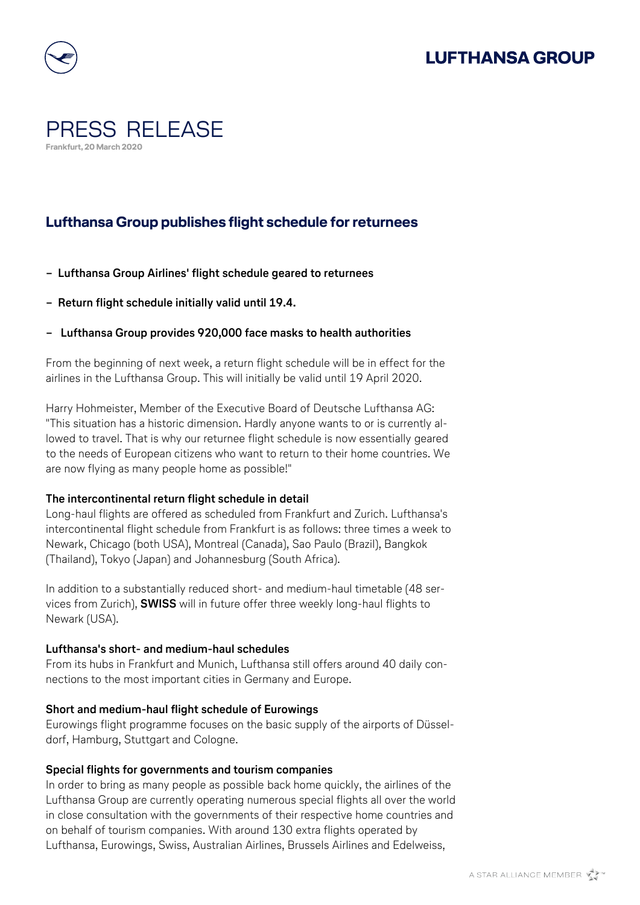

## PRESS RELEASE **Frankfurt, 20 March 2020**

## **Lufthansa Group publishes flight schedule for returnees**

- **− Lufthansa Group Airlines' flight schedule geared to returnees**
- **− Return flight schedule initially valid until 19.4.**
- **− Lufthansa Group provides 920,000 face masks to health authorities**

From the beginning of next week, a return flight schedule will be in effect for the airlines in the Lufthansa Group. This will initially be valid until 19 April 2020.

Harry Hohmeister, Member of the Executive Board of Deutsche Lufthansa AG: "This situation has a historic dimension. Hardly anyone wants to or is currently allowed to travel. That is why our returnee flight schedule is now essentially geared to the needs of European citizens who want to return to their home countries. We are now flying as many people home as possible!"

### **The intercontinental return flight schedule in detail**

Long-haul flights are offered as scheduled from Frankfurt and Zurich. Lufthansa's intercontinental flight schedule from Frankfurt is as follows: three times a week to Newark, Chicago (both USA), Montreal (Canada), Sao Paulo (Brazil), Bangkok (Thailand), Tokyo (Japan) and Johannesburg (South Africa).

In addition to a substantially reduced short- and medium-haul timetable (48 services from Zurich), **SWISS** will in future offer three weekly long-haul flights to Newark (USA).

### **Lufthansa's short- and medium-haul schedules**

From its hubs in Frankfurt and Munich, Lufthansa still offers around 40 daily connections to the most important cities in Germany and Europe.

### **Short and medium-haul flight schedule of Eurowings**

Eurowings flight programme focuses on the basic supply of the airports of Düsseldorf, Hamburg, Stuttgart and Cologne.

### **Special flights for governments and tourism companies**

In order to bring as many people as possible back home quickly, the airlines of the Lufthansa Group are currently operating numerous special flights all over the world in close consultation with the governments of their respective home countries and on behalf of tourism companies. With around 130 extra flights operated by Lufthansa, Eurowings, Swiss, Australian Airlines, Brussels Airlines and Edelweiss,